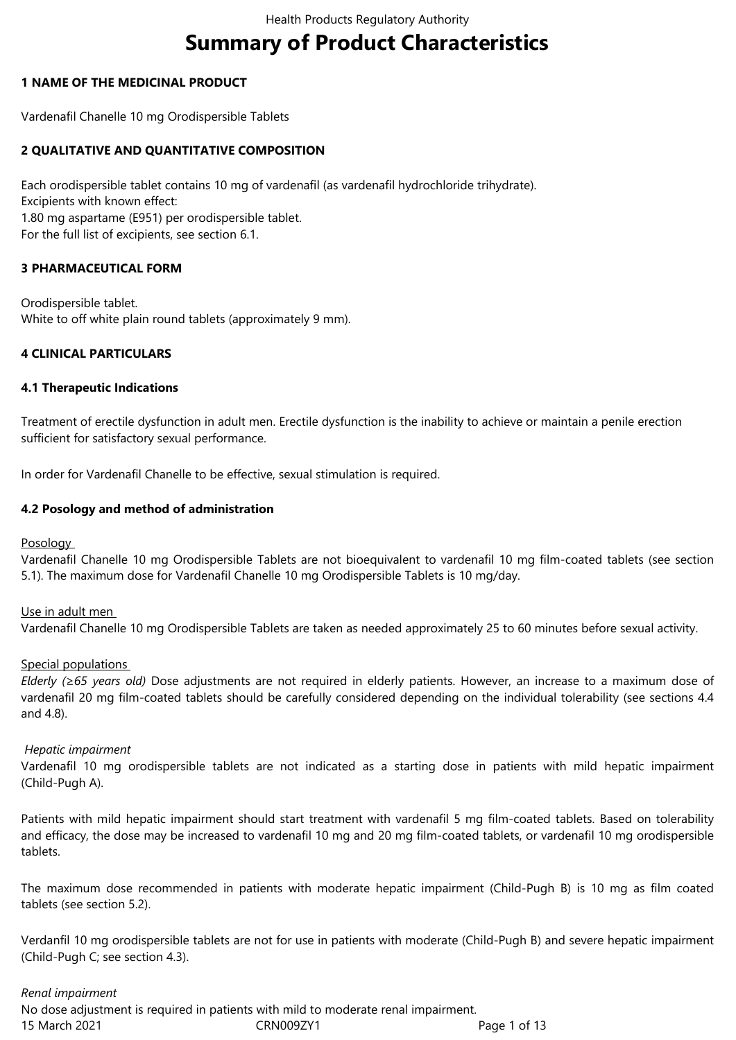# **Summary of Product Characteristics**

# **1 NAME OF THE MEDICINAL PRODUCT**

Vardenafil Chanelle 10 mg Orodispersible Tablets

# **2 QUALITATIVE AND QUANTITATIVE COMPOSITION**

Each orodispersible tablet contains 10 mg of vardenafil (as vardenafil hydrochloride trihydrate). Excipients with known effect: 1.80 mg aspartame (E951) per orodispersible tablet. For the full list of excipients, see section 6.1.

# **3 PHARMACEUTICAL FORM**

Orodispersible tablet. White to off white plain round tablets (approximately 9 mm).

# **4 CLINICAL PARTICULARS**

## **4.1 Therapeutic Indications**

Treatment of erectile dysfunction in adult men. Erectile dysfunction is the inability to achieve or maintain a penile erection sufficient for satisfactory sexual performance.

In order for Vardenafil Chanelle to be effective, sexual stimulation is required.

## **4.2 Posology and method of administration**

**Posology** 

Vardenafil Chanelle 10 mg Orodispersible Tablets are not bioequivalent to vardenafil 10 mg film-coated tablets (see section 5.1). The maximum dose for Vardenafil Chanelle 10 mg Orodispersible Tablets is 10 mg/day.

## Use in adult men

Vardenafil Chanelle 10 mg Orodispersible Tablets are taken as needed approximately 25 to 60 minutes before sexual activity.

## Special populations

*Elderly (≥65 years old)* Dose adjustments are not required in elderly patients. However, an increase to a maximum dose of vardenafil 20 mg film-coated tablets should be carefully considered depending on the individual tolerability (see sections 4.4 and 4.8).

## *Hepatic impairment*

Vardenafil 10 mg orodispersible tablets are not indicated as a starting dose in patients with mild hepatic impairment (Child-Pugh A).

Patients with mild hepatic impairment should start treatment with vardenafil 5 mg film-coated tablets. Based on tolerability and efficacy, the dose may be increased to vardenafil 10 mg and 20 mg film-coated tablets, or vardenafil 10 mg orodispersible tablets.

The maximum dose recommended in patients with moderate hepatic impairment (Child-Pugh B) is 10 mg as film coated tablets (see section 5.2).

Verdanfil 10 mg orodispersible tablets are not for use in patients with moderate (Child-Pugh B) and severe hepatic impairment (Child-Pugh C; see section 4.3).

## *Renal impairment*

15 March 2021 CRN009ZY1 Page 1 of 13 No dose adjustment is required in patients with mild to moderate renal impairment.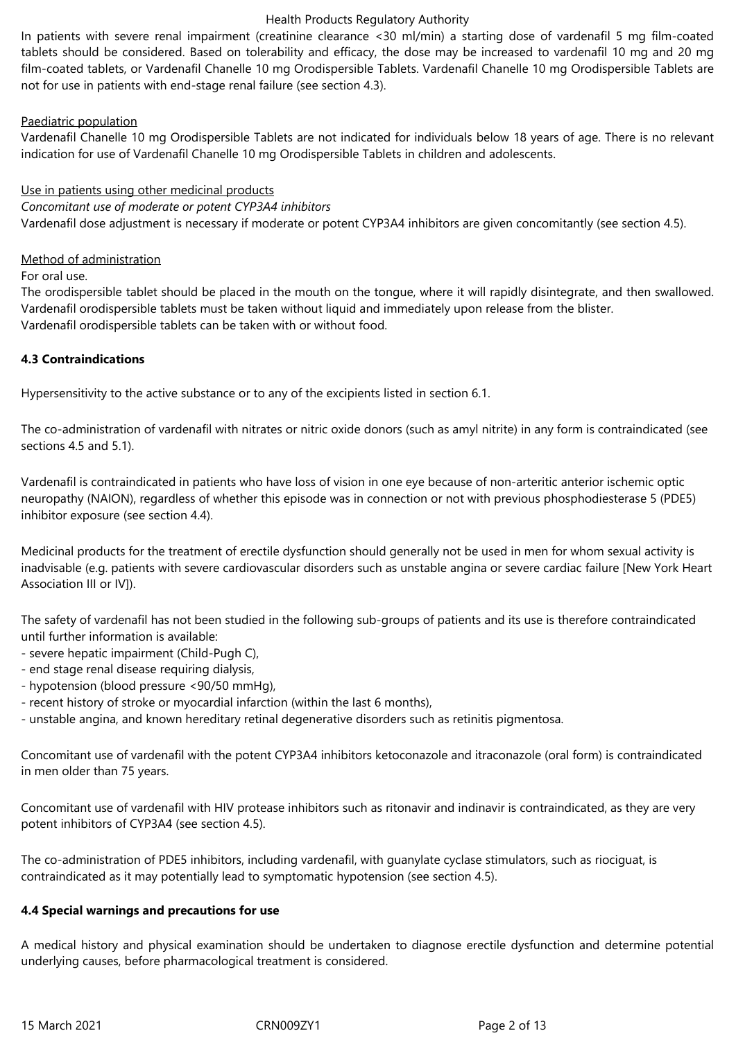In patients with severe renal impairment (creatinine clearance <30 ml/min) a starting dose of vardenafil 5 mg film-coated tablets should be considered. Based on tolerability and efficacy, the dose may be increased to vardenafil 10 mg and 20 mg film-coated tablets, or Vardenafil Chanelle 10 mg Orodispersible Tablets. Vardenafil Chanelle 10 mg Orodispersible Tablets are not for use in patients with end-stage renal failure (see section 4.3).

# Paediatric population

Vardenafil Chanelle 10 mg Orodispersible Tablets are not indicated for individuals below 18 years of age. There is no relevant indication for use of Vardenafil Chanelle 10 mg Orodispersible Tablets in children and adolescents.

## Use in patients using other medicinal products

*Concomitant use of moderate or potent CYP3A4 inhibitors*

Vardenafil dose adjustment is necessary if moderate or potent CYP3A4 inhibitors are given concomitantly (see section 4.5).

## Method of administration

For oral use.

The orodispersible tablet should be placed in the mouth on the tongue, where it will rapidly disintegrate, and then swallowed. Vardenafil orodispersible tablets must be taken without liquid and immediately upon release from the blister. Vardenafil orodispersible tablets can be taken with or without food.

# **4.3 Contraindications**

Hypersensitivity to the active substance or to any of the excipients listed in section 6.1.

The co-administration of vardenafil with nitrates or nitric oxide donors (such as amyl nitrite) in any form is contraindicated (see sections 4.5 and 5.1).

Vardenafil is contraindicated in patients who have loss of vision in one eye because of non-arteritic anterior ischemic optic neuropathy (NAION), regardless of whether this episode was in connection or not with previous phosphodiesterase 5 (PDE5) inhibitor exposure (see section 4.4).

Medicinal products for the treatment of erectile dysfunction should generally not be used in men for whom sexual activity is inadvisable (e.g. patients with severe cardiovascular disorders such as unstable angina or severe cardiac failure [New York Heart Association III or IV]).

The safety of vardenafil has not been studied in the following sub-groups of patients and its use is therefore contraindicated until further information is available:

- severe hepatic impairment (Child-Pugh C),
- end stage renal disease requiring dialysis,
- hypotension (blood pressure <90/50 mmHg),
- recent history of stroke or myocardial infarction (within the last 6 months),
- unstable angina, and known hereditary retinal degenerative disorders such as retinitis pigmentosa.

Concomitant use of vardenafil with the potent CYP3A4 inhibitors ketoconazole and itraconazole (oral form) is contraindicated in men older than 75 years.

Concomitant use of vardenafil with HIV protease inhibitors such as ritonavir and indinavir is contraindicated, as they are very potent inhibitors of CYP3A4 (see section 4.5).

The co-administration of PDE5 inhibitors, including vardenafil, with guanylate cyclase stimulators, such as riociguat, is contraindicated as it may potentially lead to symptomatic hypotension (see section 4.5).

## **4.4 Special warnings and precautions for use**

A medical history and physical examination should be undertaken to diagnose erectile dysfunction and determine potential underlying causes, before pharmacological treatment is considered.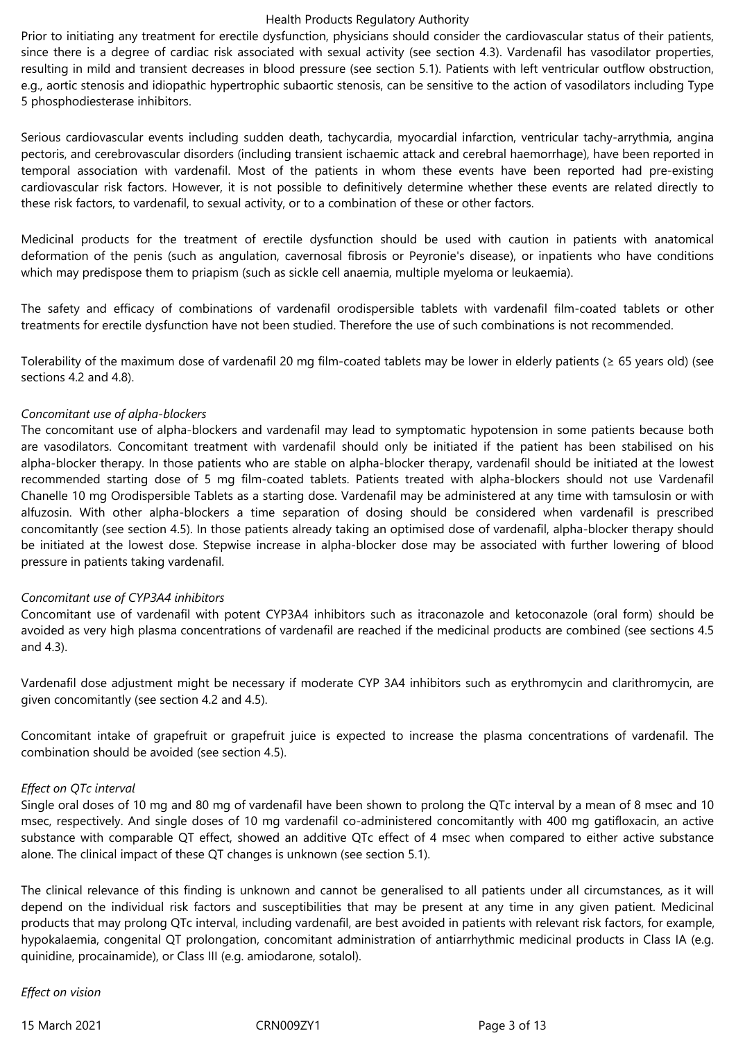Prior to initiating any treatment for erectile dysfunction, physicians should consider the cardiovascular status of their patients, since there is a degree of cardiac risk associated with sexual activity (see section 4.3). Vardenafil has vasodilator properties, resulting in mild and transient decreases in blood pressure (see section 5.1). Patients with left ventricular outflow obstruction, e.g., aortic stenosis and idiopathic hypertrophic subaortic stenosis, can be sensitive to the action of vasodilators including Type 5 phosphodiesterase inhibitors.

Serious cardiovascular events including sudden death, tachycardia, myocardial infarction, ventricular tachy-arrythmia, angina pectoris, and cerebrovascular disorders (including transient ischaemic attack and cerebral haemorrhage), have been reported in temporal association with vardenafil. Most of the patients in whom these events have been reported had pre-existing cardiovascular risk factors. However, it is not possible to definitively determine whether these events are related directly to these risk factors, to vardenafil, to sexual activity, or to a combination of these or other factors.

Medicinal products for the treatment of erectile dysfunction should be used with caution in patients with anatomical deformation of the penis (such as angulation, cavernosal fibrosis or Peyronie's disease), or inpatients who have conditions which may predispose them to priapism (such as sickle cell anaemia, multiple myeloma or leukaemia).

The safety and efficacy of combinations of vardenafil orodispersible tablets with vardenafil film-coated tablets or other treatments for erectile dysfunction have not been studied. Therefore the use of such combinations is not recommended.

Tolerability of the maximum dose of vardenafil 20 mg film-coated tablets may be lower in elderly patients (≥ 65 years old) (see sections 4.2 and 4.8).

## *Concomitant use of alpha-blockers*

The concomitant use of alpha-blockers and vardenafil may lead to symptomatic hypotension in some patients because both are vasodilators. Concomitant treatment with vardenafil should only be initiated if the patient has been stabilised on his alpha-blocker therapy. In those patients who are stable on alpha-blocker therapy, vardenafil should be initiated at the lowest recommended starting dose of 5 mg film-coated tablets. Patients treated with alpha-blockers should not use Vardenafil Chanelle 10 mg Orodispersible Tablets as a starting dose. Vardenafil may be administered at any time with tamsulosin or with alfuzosin. With other alpha-blockers a time separation of dosing should be considered when vardenafil is prescribed concomitantly (see section 4.5). In those patients already taking an optimised dose of vardenafil, alpha-blocker therapy should be initiated at the lowest dose. Stepwise increase in alpha-blocker dose may be associated with further lowering of blood pressure in patients taking vardenafil.

## *Concomitant use of CYP3A4 inhibitors*

Concomitant use of vardenafil with potent CYP3A4 inhibitors such as itraconazole and ketoconazole (oral form) should be avoided as very high plasma concentrations of vardenafil are reached if the medicinal products are combined (see sections 4.5 and 4.3).

Vardenafil dose adjustment might be necessary if moderate CYP 3A4 inhibitors such as erythromycin and clarithromycin, are given concomitantly (see section 4.2 and 4.5).

Concomitant intake of grapefruit or grapefruit juice is expected to increase the plasma concentrations of vardenafil. The combination should be avoided (see section 4.5).

## *Effect on QTc interval*

Single oral doses of 10 mg and 80 mg of vardenafil have been shown to prolong the QTc interval by a mean of 8 msec and 10 msec, respectively. And single doses of 10 mg vardenafil co-administered concomitantly with 400 mg gatifloxacin, an active substance with comparable QT effect, showed an additive QTc effect of 4 msec when compared to either active substance alone. The clinical impact of these QT changes is unknown (see section 5.1).

The clinical relevance of this finding is unknown and cannot be generalised to all patients under all circumstances, as it will depend on the individual risk factors and susceptibilities that may be present at any time in any given patient. Medicinal products that may prolong QTc interval, including vardenafil, are best avoided in patients with relevant risk factors, for example, hypokalaemia, congenital QT prolongation, concomitant administration of antiarrhythmic medicinal products in Class IA (e.g. quinidine, procainamide), or Class III (e.g. amiodarone, sotalol).

*Effect on vision*

15 March 2021 CRN009ZY1 Page 3 of 13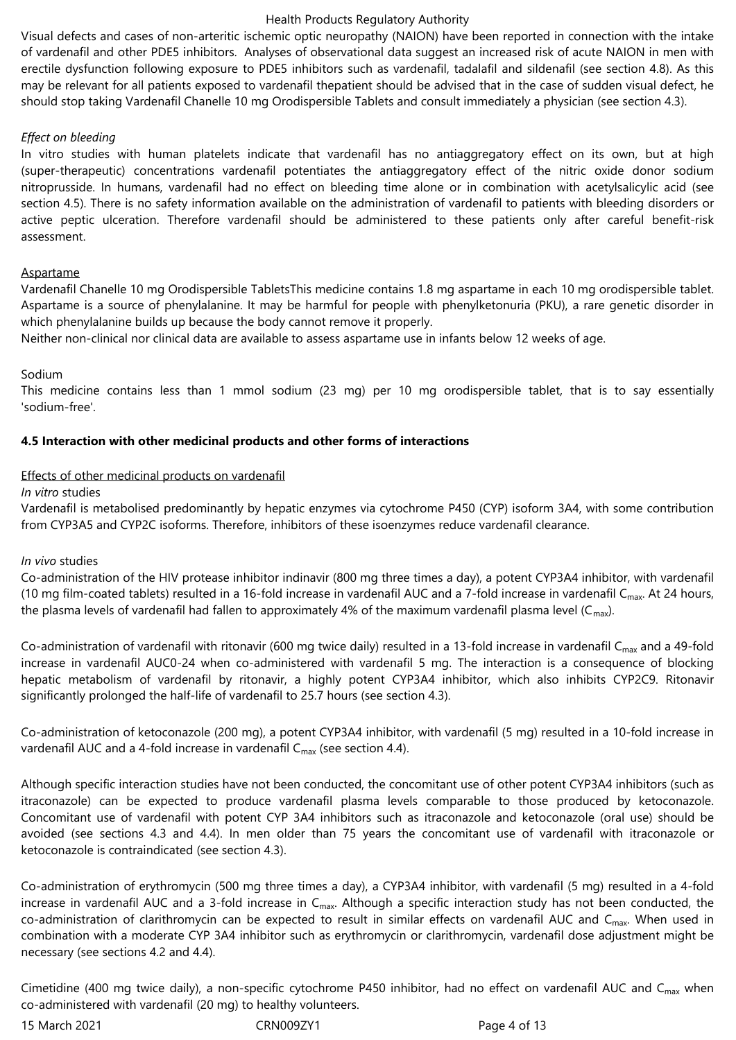Visual defects and cases of non-arteritic ischemic optic neuropathy (NAION) have been reported in connection with the intake of vardenafil and other PDE5 inhibitors. Analyses of observational data suggest an increased risk of acute NAION in men with erectile dysfunction following exposure to PDE5 inhibitors such as vardenafil, tadalafil and sildenafil (see section 4.8). As this may be relevant for all patients exposed to vardenafil thepatient should be advised that in the case of sudden visual defect, he should stop taking Vardenafil Chanelle 10 mg Orodispersible Tablets and consult immediately a physician (see section 4.3).

## *Effect on bleeding*

In vitro studies with human platelets indicate that vardenafil has no antiaggregatory effect on its own, but at high (super-therapeutic) concentrations vardenafil potentiates the antiaggregatory effect of the nitric oxide donor sodium nitroprusside. In humans, vardenafil had no effect on bleeding time alone or in combination with acetylsalicylic acid (see section 4.5). There is no safety information available on the administration of vardenafil to patients with bleeding disorders or active peptic ulceration. Therefore vardenafil should be administered to these patients only after careful benefit-risk assessment.

## Aspartame

Vardenafil Chanelle 10 mg Orodispersible TabletsThis medicine contains 1.8 mg aspartame in each 10 mg orodispersible tablet. Aspartame is a source of phenylalanine. It may be harmful for people with phenylketonuria (PKU), a rare genetic disorder in which phenylalanine builds up because the body cannot remove it properly.

Neither non-clinical nor clinical data are available to assess aspartame use in infants below 12 weeks of age.

## Sodium

This medicine contains less than 1 mmol sodium (23 mg) per 10 mg orodispersible tablet, that is to say essentially 'sodium-free'.

# **4.5 Interaction with other medicinal products and other forms of interactions**

# Effects of other medicinal products on vardenafil

*In vitro* studies

Vardenafil is metabolised predominantly by hepatic enzymes via cytochrome P450 (CYP) isoform 3A4, with some contribution from CYP3A5 and CYP2C isoforms. Therefore, inhibitors of these isoenzymes reduce vardenafil clearance.

## *In vivo* studies

Co-administration of the HIV protease inhibitor indinavir (800 mg three times a day), a potent CYP3A4 inhibitor, with vardenafil (10 mg film-coated tablets) resulted in a 16-fold increase in vardenafil AUC and a 7-fold increase in vardenafil C<sub>max</sub>. At 24 hours, the plasma levels of vardenafil had fallen to approximately 4% of the maximum vardenafil plasma level ( $C_{max}$ ).

Co-administration of vardenafil with ritonavir (600 mg twice daily) resulted in a 13-fold increase in vardenafil C<sub>max</sub> and a 49-fold increase in vardenafil AUC0-24 when co-administered with vardenafil 5 mg. The interaction is a consequence of blocking hepatic metabolism of vardenafil by ritonavir, a highly potent CYP3A4 inhibitor, which also inhibits CYP2C9. Ritonavir significantly prolonged the half-life of vardenafil to 25.7 hours (see section 4.3).

Co-administration of ketoconazole (200 mg), a potent CYP3A4 inhibitor, with vardenafil (5 mg) resulted in a 10-fold increase in vardenafil AUC and a 4-fold increase in vardenafil  $C_{\text{max}}$  (see section 4.4).

Although specific interaction studies have not been conducted, the concomitant use of other potent CYP3A4 inhibitors (such as itraconazole) can be expected to produce vardenafil plasma levels comparable to those produced by ketoconazole. Concomitant use of vardenafil with potent CYP 3A4 inhibitors such as itraconazole and ketoconazole (oral use) should be avoided (see sections 4.3 and 4.4). In men older than 75 years the concomitant use of vardenafil with itraconazole or ketoconazole is contraindicated (see section 4.3).

Co-administration of erythromycin (500 mg three times a day), a CYP3A4 inhibitor, with vardenafil (5 mg) resulted in a 4-fold increase in vardenafil AUC and a 3-fold increase in  $C_{\text{max}}$ . Although a specific interaction study has not been conducted, the co-administration of clarithromycin can be expected to result in similar effects on vardenafil AUC and  $C_{\text{max}}$ . When used in combination with a moderate CYP 3A4 inhibitor such as erythromycin or clarithromycin, vardenafil dose adjustment might be necessary (see sections 4.2 and 4.4).

Cimetidine (400 mg twice daily), a non-specific cytochrome P450 inhibitor, had no effect on vardenafil AUC and C<sub>max</sub> when co-administered with vardenafil (20 mg) to healthy volunteers.

15 March 2021 CRN009ZY1 Page 4 of 13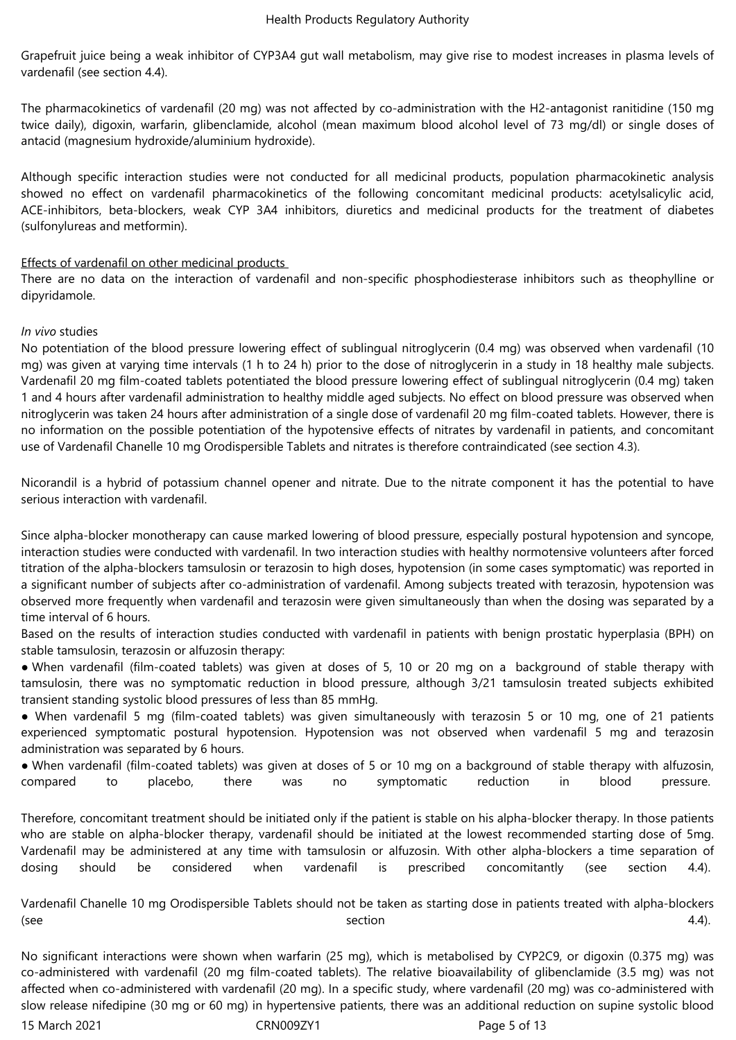Grapefruit juice being a weak inhibitor of CYP3A4 gut wall metabolism, may give rise to modest increases in plasma levels of vardenafil (see section 4.4).

The pharmacokinetics of vardenafil (20 mg) was not affected by co-administration with the H2-antagonist ranitidine (150 mg twice daily), digoxin, warfarin, glibenclamide, alcohol (mean maximum blood alcohol level of 73 mg/dl) or single doses of antacid (magnesium hydroxide/aluminium hydroxide).

Although specific interaction studies were not conducted for all medicinal products, population pharmacokinetic analysis showed no effect on vardenafil pharmacokinetics of the following concomitant medicinal products: acetylsalicylic acid, ACE-inhibitors, beta-blockers, weak CYP 3A4 inhibitors, diuretics and medicinal products for the treatment of diabetes (sulfonylureas and metformin).

# Effects of vardenafil on other medicinal products

There are no data on the interaction of vardenafil and non-specific phosphodiesterase inhibitors such as theophylline or dipyridamole.

# *In vivo* studies

No potentiation of the blood pressure lowering effect of sublingual nitroglycerin (0.4 mg) was observed when vardenafil (10 mg) was given at varying time intervals (1 h to 24 h) prior to the dose of nitroglycerin in a study in 18 healthy male subjects. Vardenafil 20 mg film-coated tablets potentiated the blood pressure lowering effect of sublingual nitroglycerin (0.4 mg) taken 1 and 4 hours after vardenafil administration to healthy middle aged subjects. No effect on blood pressure was observed when nitroglycerin was taken 24 hours after administration of a single dose of vardenafil 20 mg film-coated tablets. However, there is no information on the possible potentiation of the hypotensive effects of nitrates by vardenafil in patients, and concomitant use of Vardenafil Chanelle 10 mg Orodispersible Tablets and nitrates is therefore contraindicated (see section 4.3).

Nicorandil is a hybrid of potassium channel opener and nitrate. Due to the nitrate component it has the potential to have serious interaction with vardenafil.

Since alpha-blocker monotherapy can cause marked lowering of blood pressure, especially postural hypotension and syncope, interaction studies were conducted with vardenafil. In two interaction studies with healthy normotensive volunteers after forced titration of the alpha-blockers tamsulosin or terazosin to high doses, hypotension (in some cases symptomatic) was reported in a significant number of subjects after co-administration of vardenafil. Among subjects treated with terazosin, hypotension was observed more frequently when vardenafil and terazosin were given simultaneously than when the dosing was separated by a time interval of 6 hours.

Based on the results of interaction studies conducted with vardenafil in patients with benign prostatic hyperplasia (BPH) on stable tamsulosin, terazosin or alfuzosin therapy:

● When vardenafil (film-coated tablets) was given at doses of 5, 10 or 20 mg on a background of stable therapy with tamsulosin, there was no symptomatic reduction in blood pressure, although 3/21 tamsulosin treated subjects exhibited transient standing systolic blood pressures of less than 85 mmHg.

● When vardenafil 5 mg (film-coated tablets) was given simultaneously with terazosin 5 or 10 mg, one of 21 patients experienced symptomatic postural hypotension. Hypotension was not observed when vardenafil 5 mg and terazosin administration was separated by 6 hours.

● When vardenafil (film-coated tablets) was given at doses of 5 or 10 mg on a background of stable therapy with alfuzosin, compared to placebo, there was no symptomatic reduction in blood pressure.

Therefore, concomitant treatment should be initiated only if the patient is stable on his alpha-blocker therapy. In those patients who are stable on alpha-blocker therapy, vardenafil should be initiated at the lowest recommended starting dose of 5mg. Vardenafil may be administered at any time with tamsulosin or alfuzosin. With other alpha-blockers a time separation of dosing should be considered when vardenafil is prescribed concomitantly (see section 4.4).

Vardenafil Chanelle 10 mg Orodispersible Tablets should not be taken as starting dose in patients treated with alpha-blockers  $(see$   $4.4)$ .

No significant interactions were shown when warfarin (25 mg), which is metabolised by CYP2C9, or digoxin (0.375 mg) was co-administered with vardenafil (20 mg film-coated tablets). The relative bioavailability of glibenclamide (3.5 mg) was not affected when co-administered with vardenafil (20 mg). In a specific study, where vardenafil (20 mg) was co-administered with slow release nifedipine (30 mg or 60 mg) in hypertensive patients, there was an additional reduction on supine systolic blood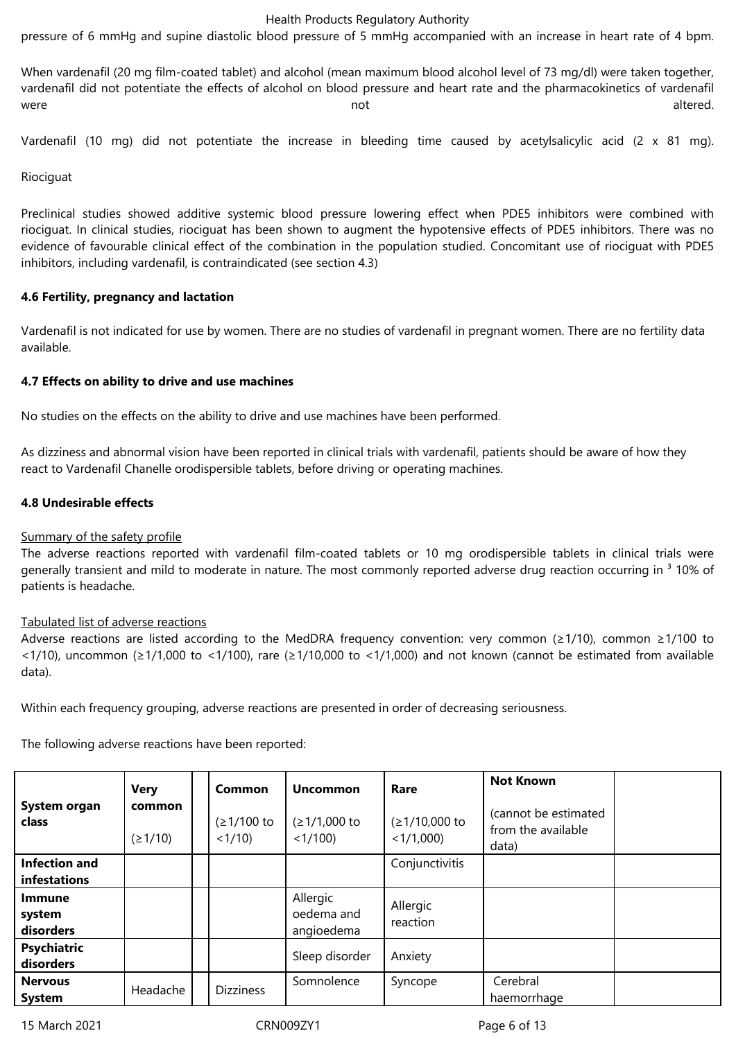pressure of 6 mmHg and supine diastolic blood pressure of 5 mmHg accompanied with an increase in heart rate of 4 bpm.

When vardenafil (20 mg film-coated tablet) and alcohol (mean maximum blood alcohol level of 73 mg/dl) were taken together, vardenafil did not potentiate the effects of alcohol on blood pressure and heart rate and the pharmacokinetics of vardenafil were the contraction of the contraction of the contraction of the contraction of the contraction of the contraction of the contraction of the contraction of the contraction of the contraction of the contraction of the cont

Vardenafil (10 mg) did not potentiate the increase in bleeding time caused by acetylsalicylic acid (2 x 81 mg).

Riociguat

Preclinical studies showed additive systemic blood pressure lowering effect when PDE5 inhibitors were combined with riociguat. In clinical studies, riociguat has been shown to augment the hypotensive effects of PDE5 inhibitors. There was no evidence of favourable clinical effect of the combination in the population studied. Concomitant use of riociguat with PDE5 inhibitors, including vardenafil, is contraindicated (see section 4.3)

#### **4.6 Fertility, pregnancy and lactation**

Vardenafil is not indicated for use by women. There are no studies of vardenafil in pregnant women. There are no fertility data available.

#### **4.7 Effects on ability to drive and use machines**

No studies on the effects on the ability to drive and use machines have been performed.

As dizziness and abnormal vision have been reported in clinical trials with vardenafil, patients should be aware of how they react to Vardenafil Chanelle orodispersible tablets, before driving or operating machines.

#### **4.8 Undesirable effects**

#### Summary of the safety profile

The adverse reactions reported with vardenafil film-coated tablets or 10 mg orodispersible tablets in clinical trials were generally transient and mild to moderate in nature. The most commonly reported adverse drug reaction occurring in <sup>3</sup> 10% of patients is headache.

#### Tabulated list of adverse reactions

Adverse reactions are listed according to the MedDRA frequency convention: very common (≥1/10), common ≥1/100 to <1/10), uncommon (≥1/1,000 to <1/100), rare (≥1/10,000 to <1/1,000) and not known (cannot be estimated from available data).

Within each frequency grouping, adverse reactions are presented in order of decreasing seriousness.

The following adverse reactions have been reported:

| System organ<br>class                | <b>Very</b><br>common<br>(21/10) | Common<br>$(≥1/100$ to<br>$<1/10$ ) | <b>Uncommon</b><br>$(≥1/1,000$ to<br>< 1/100 | Rare<br>(≥1/10,000 to<br>$<1/1,000$ ) | <b>Not Known</b><br>(cannot be estimated<br>from the available<br>data) |  |
|--------------------------------------|----------------------------------|-------------------------------------|----------------------------------------------|---------------------------------------|-------------------------------------------------------------------------|--|
| <b>Infection and</b><br>infestations |                                  |                                     |                                              | Conjunctivitis                        |                                                                         |  |
| <b>Immune</b><br>system<br>disorders |                                  |                                     | Allergic<br>oedema and<br>angioedema         | Allergic<br>reaction                  |                                                                         |  |
| Psychiatric<br>disorders             |                                  |                                     | Sleep disorder                               | Anxiety                               |                                                                         |  |
| <b>Nervous</b><br><b>System</b>      | Headache                         | <b>Dizziness</b>                    | Somnolence                                   | Syncope                               | Cerebral<br>haemorrhage                                                 |  |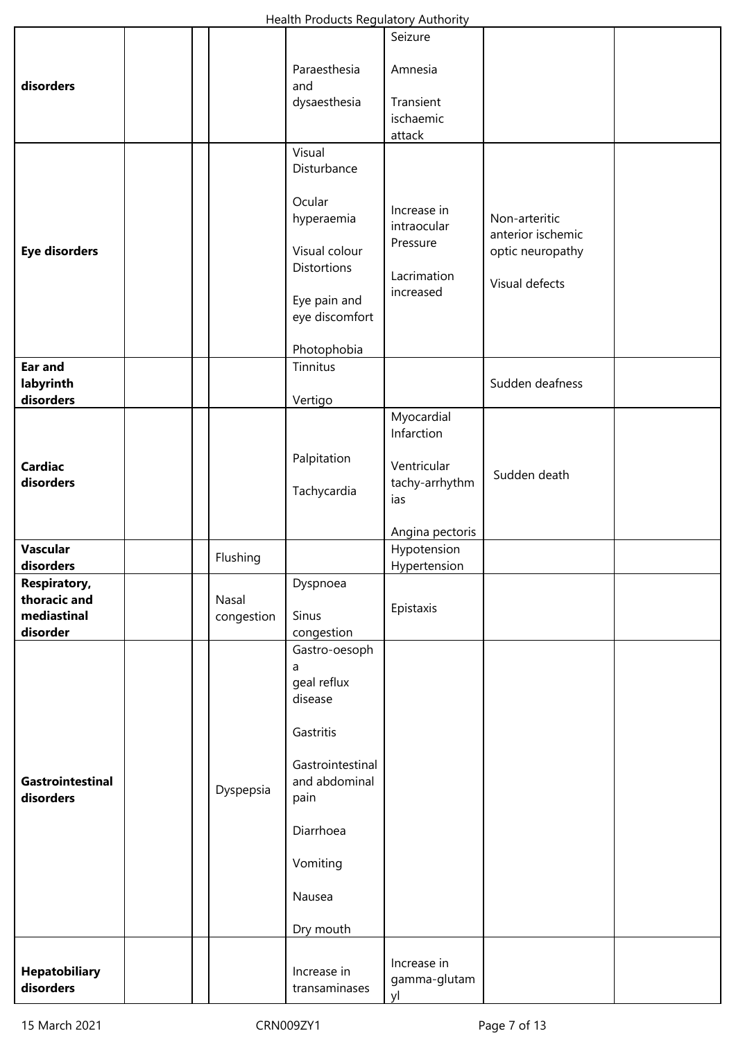|                                                         |  |                     | Health Products Regulatory Authority                                                                                                                   |                                                                    |                                                                          |  |
|---------------------------------------------------------|--|---------------------|--------------------------------------------------------------------------------------------------------------------------------------------------------|--------------------------------------------------------------------|--------------------------------------------------------------------------|--|
| disorders                                               |  |                     | Paraesthesia<br>and<br>dysaesthesia                                                                                                                    | Seizure<br>Amnesia<br>Transient<br>ischaemic<br>attack             |                                                                          |  |
| <b>Eye disorders</b>                                    |  |                     | Visual<br>Disturbance<br>Ocular<br>hyperaemia<br>Visual colour<br><b>Distortions</b><br>Eye pain and<br>eye discomfort<br>Photophobia                  | Increase in<br>intraocular<br>Pressure<br>Lacrimation<br>increased | Non-arteritic<br>anterior ischemic<br>optic neuropathy<br>Visual defects |  |
| Ear and<br>labyrinth<br>disorders                       |  |                     | Tinnitus<br>Vertigo                                                                                                                                    |                                                                    | Sudden deafness                                                          |  |
| <b>Cardiac</b><br>disorders                             |  |                     | Palpitation<br>Tachycardia                                                                                                                             | Myocardial<br>Infarction<br>Ventricular<br>tachy-arrhythm<br>ias   | Sudden death                                                             |  |
| <b>Vascular</b>                                         |  |                     |                                                                                                                                                        | Angina pectoris<br>Hypotension                                     |                                                                          |  |
| disorders                                               |  | Flushing            |                                                                                                                                                        | Hypertension                                                       |                                                                          |  |
| Respiratory,<br>thoracic and<br>mediastinal<br>disorder |  | Nasal<br>congestion | Dyspnoea<br>Sinus<br>congestion                                                                                                                        | Epistaxis                                                          |                                                                          |  |
| Gastrointestinal<br>disorders                           |  | Dyspepsia           | Gastro-oesoph<br>a<br>geal reflux<br>disease<br>Gastritis<br>Gastrointestinal<br>and abdominal<br>pain<br>Diarrhoea<br>Vomiting<br>Nausea<br>Dry mouth |                                                                    |                                                                          |  |
| <b>Hepatobiliary</b><br>disorders                       |  |                     | Increase in<br>transaminases                                                                                                                           | Increase in<br>gamma-glutam<br>yl                                  |                                                                          |  |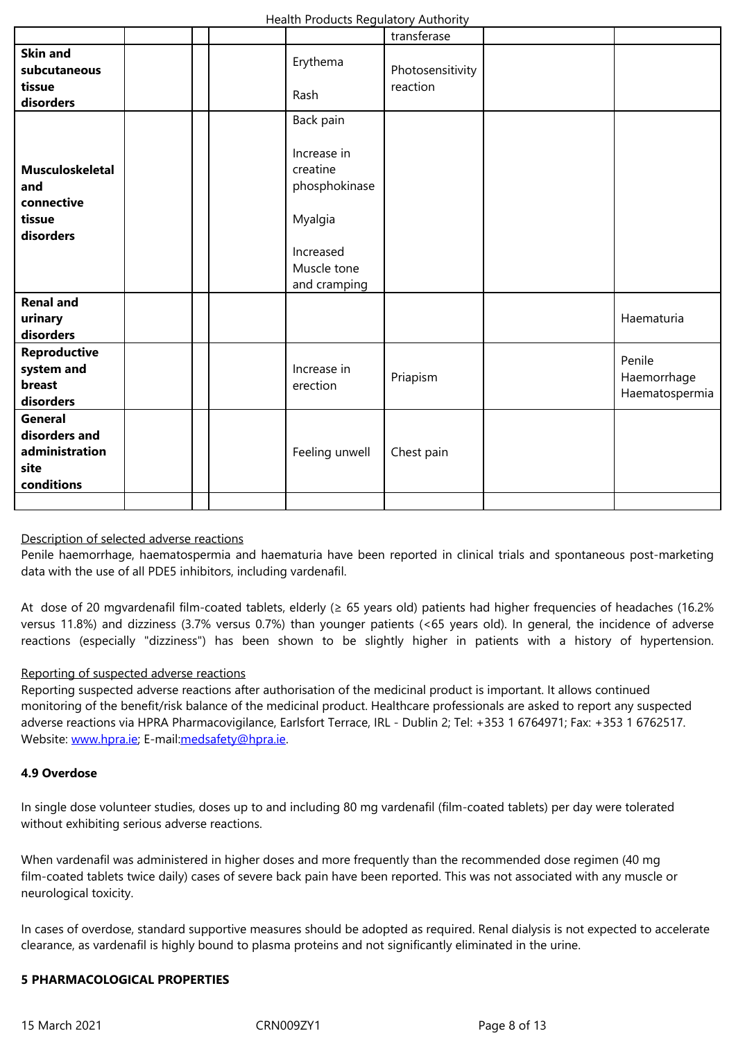| subcutaneous           |  | <b>Erythema</b> | Photosensitivity |                |
|------------------------|--|-----------------|------------------|----------------|
| tissue                 |  | Rash            | reaction         |                |
| disorders              |  |                 |                  |                |
|                        |  | Back pain       |                  |                |
|                        |  |                 |                  |                |
|                        |  | Increase in     |                  |                |
| <b>Musculoskeletal</b> |  | creatine        |                  |                |
| and                    |  | phosphokinase   |                  |                |
| connective             |  |                 |                  |                |
| tissue                 |  | Myalgia         |                  |                |
| disorders              |  |                 |                  |                |
|                        |  | Increased       |                  |                |
|                        |  | Muscle tone     |                  |                |
|                        |  | and cramping    |                  |                |
| <b>Renal and</b>       |  |                 |                  |                |
| urinary                |  |                 |                  | Haematuria     |
| disorders              |  |                 |                  |                |
| Reproductive           |  |                 |                  |                |
| system and             |  | Increase in     |                  | Penile         |
| breast                 |  | erection        | Priapism         | Haemorrhage    |
| disorders              |  |                 |                  | Haematospermia |
| General                |  |                 |                  |                |
| disorders and          |  |                 |                  |                |
| administration         |  | Feeling unwell  | Chest pain       |                |
| site                   |  |                 |                  |                |
| conditions             |  |                 |                  |                |
|                        |  |                 |                  |                |
|                        |  |                 |                  |                |

## Description of selected adverse reactions

Penile haemorrhage, haematospermia and haematuria have been reported in clinical trials and spontaneous post-marketing data with the use of all PDE5 inhibitors, including vardenafil.

At dose of 20 mgvardenafil film-coated tablets, elderly (≥ 65 years old) patients had higher frequencies of headaches (16.2% versus 11.8%) and dizziness (3.7% versus 0.7%) than younger patients (<65 years old). In general, the incidence of adverse reactions (especially "dizziness") has been shown to be slightly higher in patients with a history of hypertension.

#### Reporting of suspected adverse reactions

Reporting suspected adverse reactions after authorisation of the medicinal product is important. It allows continued monitoring of the benefit/risk balance of the medicinal product. Healthcare professionals are asked to report any suspected adverse reactions via HPRA Pharmacovigilance, Earlsfort Terrace, IRL - Dublin 2; Tel: +353 1 6764971; Fax: +353 1 6762517. Website: www.hpra.ie; E-mail:medsafety@hpra.ie.

## **4.9 Overdose**

In single [dose volunte](http://www.hpra.ie/)er stud[ies, doses up to and](mailto:medsafety@hpra.ie) including 80 mg vardenafil (film-coated tablets) per day were tolerated without exhibiting serious adverse reactions.

When vardenafil was administered in higher doses and more frequently than the recommended dose regimen (40 mg film-coated tablets twice daily) cases of severe back pain have been reported. This was not associated with any muscle or neurological toxicity.

In cases of overdose, standard supportive measures should be adopted as required. Renal dialysis is not expected to accelerate clearance, as vardenafil is highly bound to plasma proteins and not significantly eliminated in the urine.

## **5 PHARMACOLOGICAL PROPERTIES**

15 March 2021 CRN009ZY1 Page 8 of 13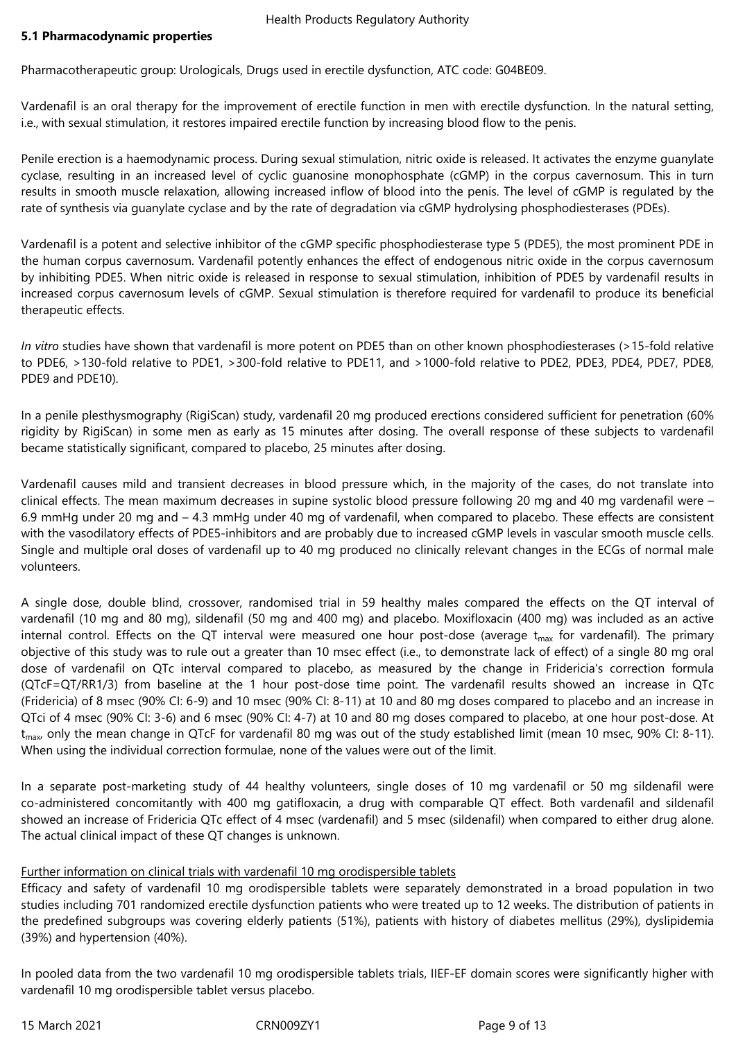## **5.1 Pharmacodynamic properties**

Pharmacotherapeutic group: Urologicals, Drugs used in erectile dysfunction, ATC code: G04BE09.

Vardenafil is an oral therapy for the improvement of erectile function in men with erectile dysfunction. In the natural setting, i.e., with sexual stimulation, it restores impaired erectile function by increasing blood flow to the penis.

Penile erection is a haemodynamic process. During sexual stimulation, nitric oxide is released. It activates the enzyme guanylate cyclase, resulting in an increased level of cyclic guanosine monophosphate (cGMP) in the corpus cavernosum. This in turn results in smooth muscle relaxation, allowing increased inflow of blood into the penis. The level of cGMP is regulated by the rate of synthesis via guanylate cyclase and by the rate of degradation via cGMP hydrolysing phosphodiesterases (PDEs).

Vardenafil is a potent and selective inhibitor of the cGMP specific phosphodiesterase type 5 (PDE5), the most prominent PDE in the human corpus cavernosum. Vardenafil potently enhances the effect of endogenous nitric oxide in the corpus cavernosum by inhibiting PDE5. When nitric oxide is released in response to sexual stimulation, inhibition of PDE5 by vardenafil results in increased corpus cavernosum levels of cGMP. Sexual stimulation is therefore required for vardenafil to produce its beneficial therapeutic effects.

*In vitro* studies have shown that vardenafil is more potent on PDE5 than on other known phosphodiesterases (>15-fold relative to PDE6, >130-fold relative to PDE1, >300-fold relative to PDE11, and >1000-fold relative to PDE2, PDE3, PDE4, PDE7, PDE8, PDE9 and PDE10).

In a penile plesthysmography (RigiScan) study, vardenafil 20 mg produced erections considered sufficient for penetration (60% rigidity by RigiScan) in some men as early as 15 minutes after dosing. The overall response of these subjects to vardenafil became statistically significant, compared to placebo, 25 minutes after dosing.

Vardenafil causes mild and transient decreases in blood pressure which, in the majority of the cases, do not translate into clinical effects. The mean maximum decreases in supine systolic blood pressure following 20 mg and 40 mg vardenafil were – 6.9 mmHg under 20 mg and – 4.3 mmHg under 40 mg of vardenafil, when compared to placebo. These effects are consistent with the vasodilatory effects of PDE5-inhibitors and are probably due to increased cGMP levels in vascular smooth muscle cells. Single and multiple oral doses of vardenafil up to 40 mg produced no clinically relevant changes in the ECGs of normal male volunteers.

A single dose, double blind, crossover, randomised trial in 59 healthy males compared the effects on the QT interval of vardenafil (10 mg and 80 mg), sildenafil (50 mg and 400 mg) and placebo. Moxifloxacin (400 mg) was included as an active internal control. Effects on the QT interval were measured one hour post-dose (average  $t_{max}$  for vardenafil). The primary objective of this study was to rule out a greater than 10 msec effect (i.e., to demonstrate lack of effect) of a single 80 mg oral dose of vardenafil on QTc interval compared to placebo, as measured by the change in Fridericia's correction formula (QTcF=QT/RR1/3) from baseline at the 1 hour post-dose time point. The vardenafil results showed an increase in QTc (Fridericia) of 8 msec (90% CI: 6-9) and 10 msec (90% CI: 8-11) at 10 and 80 mg doses compared to placebo and an increase in QTci of 4 msec (90% CI: 3-6) and 6 msec (90% CI: 4-7) at 10 and 80 mg doses compared to placebo, at one hour post-dose. At  $t_{\text{max}}$  only the mean change in QTcF for vardenafil 80 mg was out of the study established limit (mean 10 msec, 90% CI: 8-11). When using the individual correction formulae, none of the values were out of the limit.

In a separate post-marketing study of 44 healthy volunteers, single doses of 10 mg vardenafil or 50 mg sildenafil were co-administered concomitantly with 400 mg gatifloxacin, a drug with comparable QT effect. Both vardenafil and sildenafil showed an increase of Fridericia QTc effect of 4 msec (vardenafil) and 5 msec (sildenafil) when compared to either drug alone. The actual clinical impact of these QT changes is unknown.

# Further information on clinical trials with vardenafil 10 mg orodispersible tablets

Efficacy and safety of vardenafil 10 mg orodispersible tablets were separately demonstrated in a broad population in two studies including 701 randomized erectile dysfunction patients who were treated up to 12 weeks. The distribution of patients in the predefined subgroups was covering elderly patients (51%), patients with history of diabetes mellitus (29%), dyslipidemia (39%) and hypertension (40%).

In pooled data from the two vardenafil 10 mg orodispersible tablets trials, IIEF-EF domain scores were significantly higher with vardenafil 10 mg orodispersible tablet versus placebo.

15 March 2021 CRN009ZY1 Page 9 of 13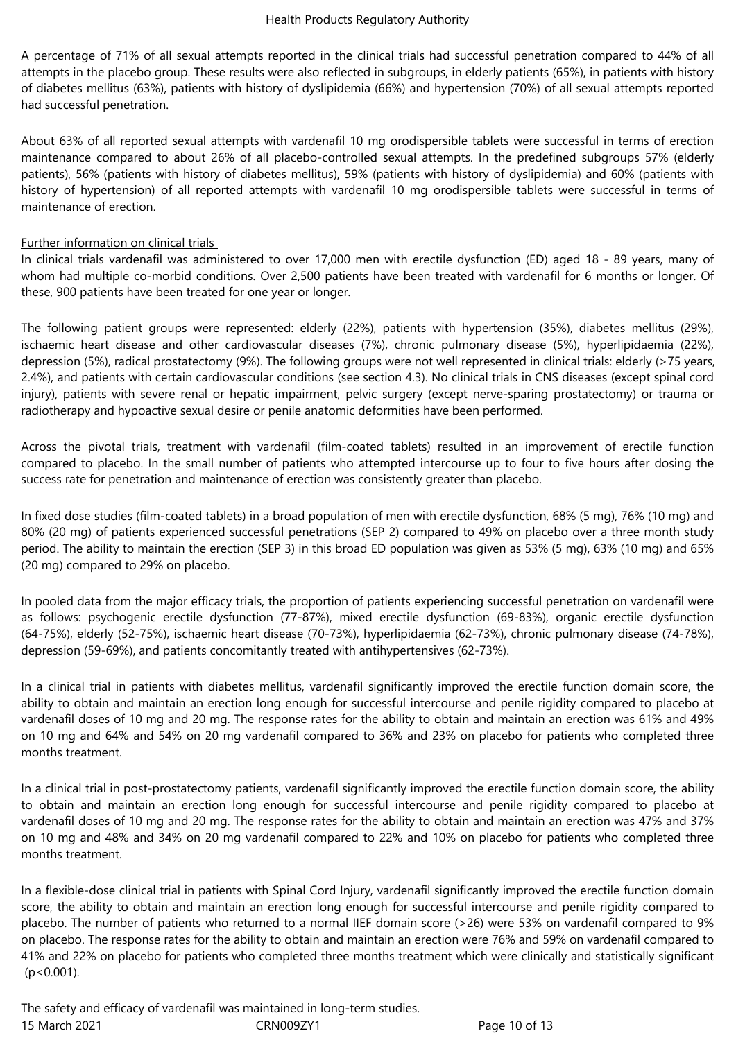A percentage of 71% of all sexual attempts reported in the clinical trials had successful penetration compared to 44% of all attempts in the placebo group. These results were also reflected in subgroups, in elderly patients (65%), in patients with history of diabetes mellitus (63%), patients with history of dyslipidemia (66%) and hypertension (70%) of all sexual attempts reported had successful penetration.

About 63% of all reported sexual attempts with vardenafil 10 mg orodispersible tablets were successful in terms of erection maintenance compared to about 26% of all placebo-controlled sexual attempts. In the predefined subgroups 57% (elderly patients), 56% (patients with history of diabetes mellitus), 59% (patients with history of dyslipidemia) and 60% (patients with history of hypertension) of all reported attempts with vardenafil 10 mg orodispersible tablets were successful in terms of maintenance of erection.

# Further information on clinical trials

In clinical trials vardenafil was administered to over 17,000 men with erectile dysfunction (ED) aged 18 - 89 years, many of whom had multiple co-morbid conditions. Over 2,500 patients have been treated with vardenafil for 6 months or longer. Of these, 900 patients have been treated for one year or longer.

The following patient groups were represented: elderly (22%), patients with hypertension (35%), diabetes mellitus (29%), ischaemic heart disease and other cardiovascular diseases (7%), chronic pulmonary disease (5%), hyperlipidaemia (22%), depression (5%), radical prostatectomy (9%). The following groups were not well represented in clinical trials: elderly (>75 years, 2.4%), and patients with certain cardiovascular conditions (see section 4.3). No clinical trials in CNS diseases (except spinal cord injury), patients with severe renal or hepatic impairment, pelvic surgery (except nerve-sparing prostatectomy) or trauma or radiotherapy and hypoactive sexual desire or penile anatomic deformities have been performed.

Across the pivotal trials, treatment with vardenafil (film-coated tablets) resulted in an improvement of erectile function compared to placebo. In the small number of patients who attempted intercourse up to four to five hours after dosing the success rate for penetration and maintenance of erection was consistently greater than placebo.

In fixed dose studies (film-coated tablets) in a broad population of men with erectile dysfunction, 68% (5 mg), 76% (10 mg) and 80% (20 mg) of patients experienced successful penetrations (SEP 2) compared to 49% on placebo over a three month study period. The ability to maintain the erection (SEP 3) in this broad ED population was given as 53% (5 mg), 63% (10 mg) and 65% (20 mg) compared to 29% on placebo.

In pooled data from the major efficacy trials, the proportion of patients experiencing successful penetration on vardenafil were as follows: psychogenic erectile dysfunction (77-87%), mixed erectile dysfunction (69-83%), organic erectile dysfunction (64-75%), elderly (52-75%), ischaemic heart disease (70-73%), hyperlipidaemia (62-73%), chronic pulmonary disease (74-78%), depression (59-69%), and patients concomitantly treated with antihypertensives (62-73%).

In a clinical trial in patients with diabetes mellitus, vardenafil significantly improved the erectile function domain score, the ability to obtain and maintain an erection long enough for successful intercourse and penile rigidity compared to placebo at vardenafil doses of 10 mg and 20 mg. The response rates for the ability to obtain and maintain an erection was 61% and 49% on 10 mg and 64% and 54% on 20 mg vardenafil compared to 36% and 23% on placebo for patients who completed three months treatment.

In a clinical trial in post-prostatectomy patients, vardenafil significantly improved the erectile function domain score, the ability to obtain and maintain an erection long enough for successful intercourse and penile rigidity compared to placebo at vardenafil doses of 10 mg and 20 mg. The response rates for the ability to obtain and maintain an erection was 47% and 37% on 10 mg and 48% and 34% on 20 mg vardenafil compared to 22% and 10% on placebo for patients who completed three months treatment.

In a flexible-dose clinical trial in patients with Spinal Cord Injury, vardenafil significantly improved the erectile function domain score, the ability to obtain and maintain an erection long enough for successful intercourse and penile rigidity compared to placebo. The number of patients who returned to a normal IIEF domain score (>26) were 53% on vardenafil compared to 9% on placebo. The response rates for the ability to obtain and maintain an erection were 76% and 59% on vardenafil compared to 41% and 22% on placebo for patients who completed three months treatment which were clinically and statistically significant  $(p < 0.001)$ .

15 March 2021 CRN009ZY1 Page 10 of 13 The safety and efficacy of vardenafil was maintained in long-term studies.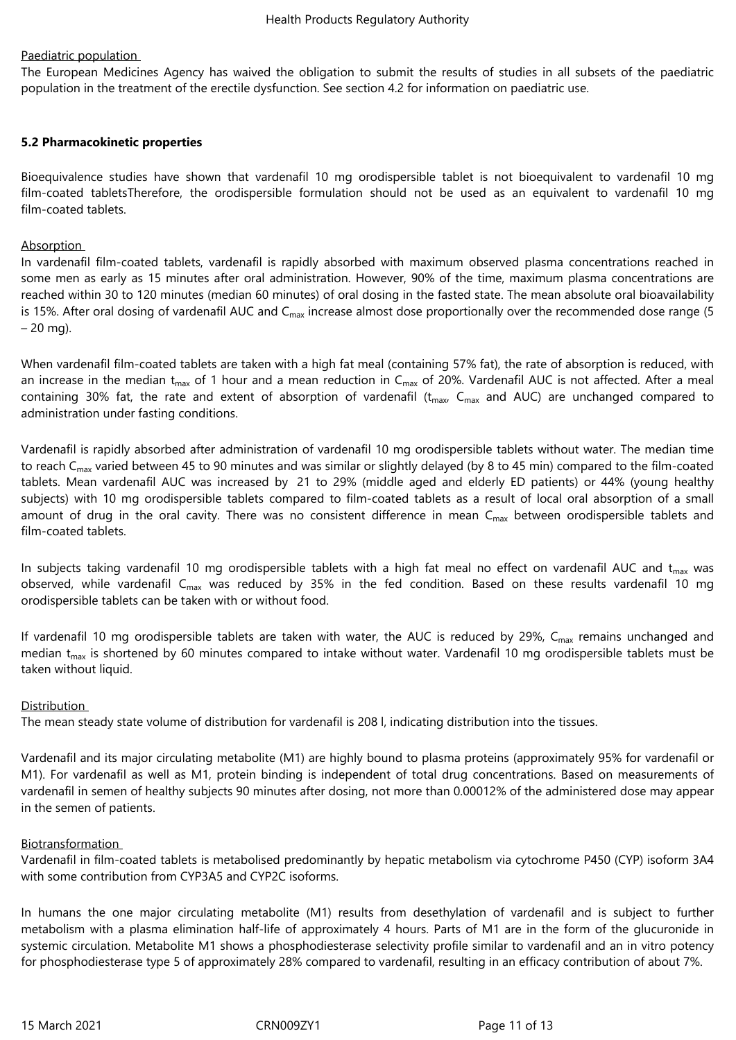# Paediatric population

The European Medicines Agency has waived the obligation to submit the results of studies in all subsets of the paediatric population in the treatment of the erectile dysfunction. See section 4.2 for information on paediatric use.

## **5.2 Pharmacokinetic properties**

Bioequivalence studies have shown that vardenafil 10 mg orodispersible tablet is not bioequivalent to vardenafil 10 mg film-coated tabletsTherefore, the orodispersible formulation should not be used as an equivalent to vardenafil 10 mg film-coated tablets.

## Absorption

In vardenafil film-coated tablets, vardenafil is rapidly absorbed with maximum observed plasma concentrations reached in some men as early as 15 minutes after oral administration. However, 90% of the time, maximum plasma concentrations are reached within 30 to 120 minutes (median 60 minutes) of oral dosing in the fasted state. The mean absolute oral bioavailability is 15%. After oral dosing of vardenafil AUC and  $C<sub>max</sub>$  increase almost dose proportionally over the recommended dose range (5)  $-20$  mg).

When vardenafil film-coated tablets are taken with a high fat meal (containing 57% fat), the rate of absorption is reduced, with an increase in the median  $t_{max}$  of 1 hour and a mean reduction in  $C_{max}$  of 20%. Vardenafil AUC is not affected. After a meal containing 30% fat, the rate and extent of absorption of vardenafil ( $t_{max}$ ,  $C_{max}$  and AUC) are unchanged compared to administration under fasting conditions.

Vardenafil is rapidly absorbed after administration of vardenafil 10 mg orodispersible tablets without water. The median time to reach  $C_{\text{max}}$  varied between 45 to 90 minutes and was similar or slightly delayed (by 8 to 45 min) compared to the film-coated tablets. Mean vardenafil AUC was increased by 21 to 29% (middle aged and elderly ED patients) or 44% (young healthy subjects) with 10 mg orodispersible tablets compared to film-coated tablets as a result of local oral absorption of a small amount of drug in the oral cavity. There was no consistent difference in mean  $C_{\text{max}}$  between orodispersible tablets and film-coated tablets.

In subjects taking vardenafil 10 mg orodispersible tablets with a high fat meal no effect on vardenafil AUC and  $t_{max}$  was observed, while vardenafil  $C_{max}$  was reduced by 35% in the fed condition. Based on these results vardenafil 10 mg orodispersible tablets can be taken with or without food.

If vardenafil 10 mg orodispersible tablets are taken with water, the AUC is reduced by 29%,  $C_{\text{max}}$  remains unchanged and median  $t_{max}$  is shortened by 60 minutes compared to intake without water. Vardenafil 10 mg orodispersible tablets must be taken without liquid.

## **Distribution**

The mean steady state volume of distribution for vardenafil is 208 l, indicating distribution into the tissues.

Vardenafil and its major circulating metabolite (M1) are highly bound to plasma proteins (approximately 95% for vardenafil or M1). For vardenafil as well as M1, protein binding is independent of total drug concentrations. Based on measurements of vardenafil in semen of healthy subjects 90 minutes after dosing, not more than 0.00012% of the administered dose may appear in the semen of patients.

## **Biotransformation**

Vardenafil in film-coated tablets is metabolised predominantly by hepatic metabolism via cytochrome P450 (CYP) isoform 3A4 with some contribution from CYP3A5 and CYP2C isoforms.

In humans the one major circulating metabolite (M1) results from desethylation of vardenafil and is subject to further metabolism with a plasma elimination half-life of approximately 4 hours. Parts of M1 are in the form of the glucuronide in systemic circulation. Metabolite M1 shows a phosphodiesterase selectivity profile similar to vardenafil and an in vitro potency for phosphodiesterase type 5 of approximately 28% compared to vardenafil, resulting in an efficacy contribution of about 7%.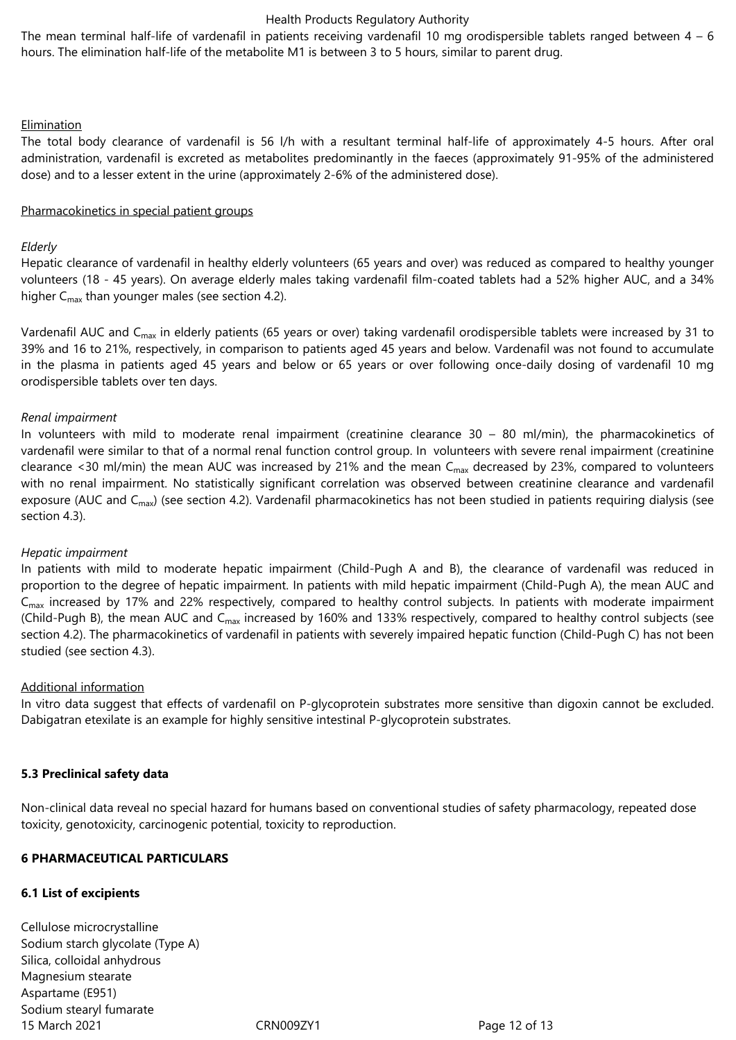The mean terminal half-life of vardenafil in patients receiving vardenafil 10 mg orodispersible tablets ranged between  $4 - 6$ hours. The elimination half-life of the metabolite M1 is between 3 to 5 hours, similar to parent drug.

#### Elimination

The total body clearance of vardenafil is 56 l/h with a resultant terminal half-life of approximately 4-5 hours. After oral administration, vardenafil is excreted as metabolites predominantly in the faeces (approximately 91-95% of the administered dose) and to a lesser extent in the urine (approximately 2-6% of the administered dose).

#### Pharmacokinetics in special patient groups

#### *Elderly*

Hepatic clearance of vardenafil in healthy elderly volunteers (65 years and over) was reduced as compared to healthy younger volunteers (18 - 45 years). On average elderly males taking vardenafil film-coated tablets had a 52% higher AUC, and a 34% higher  $C_{\text{max}}$  than younger males (see section 4.2).

Vardenafil AUC and C<sub>max</sub> in elderly patients (65 years or over) taking vardenafil orodispersible tablets were increased by 31 to 39% and 16 to 21%, respectively, in comparison to patients aged 45 years and below. Vardenafil was not found to accumulate in the plasma in patients aged 45 years and below or 65 years or over following once-daily dosing of vardenafil 10 mg orodispersible tablets over ten days.

#### *Renal impairment*

In volunteers with mild to moderate renal impairment (creatinine clearance 30 – 80 ml/min), the pharmacokinetics of vardenafil were similar to that of a normal renal function control group. In volunteers with severe renal impairment (creatinine clearance <30 ml/min) the mean AUC was increased by 21% and the mean  $C_{max}$  decreased by 23%, compared to volunteers with no renal impairment. No statistically significant correlation was observed between creatinine clearance and vardenafil exposure (AUC and C<sub>max</sub>) (see section 4.2). Vardenafil pharmacokinetics has not been studied in patients requiring dialysis (see section 4.3).

## *Hepatic impairment*

In patients with mild to moderate hepatic impairment (Child-Pugh A and B), the clearance of vardenafil was reduced in proportion to the degree of hepatic impairment. In patients with mild hepatic impairment (Child-Pugh A), the mean AUC and  $C<sub>max</sub>$  increased by 17% and 22% respectively, compared to healthy control subjects. In patients with moderate impairment (Child-Pugh B), the mean AUC and C<sub>max</sub> increased by 160% and 133% respectively, compared to healthy control subjects (see section 4.2). The pharmacokinetics of vardenafil in patients with severely impaired hepatic function (Child-Pugh C) has not been studied (see section 4.3).

## Additional information

In vitro data suggest that effects of vardenafil on P-glycoprotein substrates more sensitive than digoxin cannot be excluded. Dabigatran etexilate is an example for highly sensitive intestinal P-glycoprotein substrates.

## **5.3 Preclinical safety data**

Non-clinical data reveal no special hazard for humans based on conventional studies of safety pharmacology, repeated dose toxicity, genotoxicity, carcinogenic potential, toxicity to reproduction.

## **6 PHARMACEUTICAL PARTICULARS**

## **6.1 List of excipients**

15 March 2021 CRN009ZY1 Page 12 of 13 Cellulose microcrystalline Sodium starch glycolate (Type A) Silica, colloidal anhydrous Magnesium stearate Aspartame (E951) Sodium stearyl fumarate